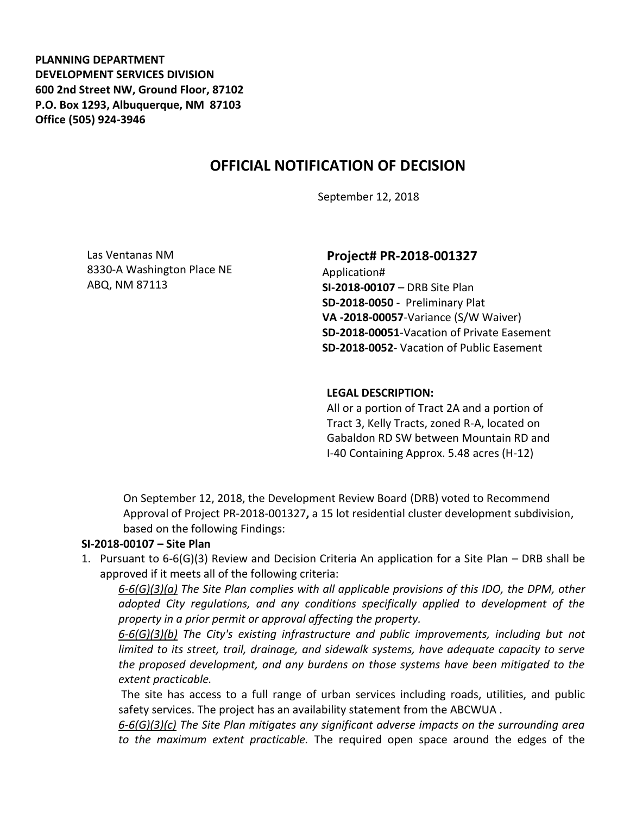**PLANNING DEPARTMENT DEVELOPMENT SERVICES DIVISION 600 2nd Street NW, Ground Floor, 87102 P.O. Box 1293, Albuquerque, NM 87103 Office (505) 924-3946** 

# **OFFICIAL NOTIFICATION OF DECISION**

September 12, 2018

Las Ventanas NM 8330-A Washington Place NE ABQ, NM 87113

#### **Project# PR-2018-001327**

Application# **SI-2018-00107** – DRB Site Plan **SD-2018-0050** - Preliminary Plat **VA -2018-00057**-Variance (S/W Waiver) **SD-2018-00051**-Vacation of Private Easement **SD-2018-0052**- Vacation of Public Easement

#### **LEGAL DESCRIPTION:**

All or a portion of Tract 2A and a portion of Tract 3, Kelly Tracts, zoned R-A, located on Gabaldon RD SW between Mountain RD and I-40 Containing Approx. 5.48 acres (H-12)

On September 12, 2018, the Development Review Board (DRB) voted to Recommend Approval of Project PR-2018-001327**,** a 15 lot residential cluster development subdivision, based on the following Findings:

#### **SI-2018-00107 – Site Plan**

1. Pursuant to 6-6(G)(3) Review and Decision Criteria An application for a Site Plan – DRB shall be approved if it meets all of the following criteria:

*6-6(G)(3)(a) The Site Plan complies with all applicable provisions of this IDO, the DPM, other adopted City regulations, and any conditions specifically applied to development of the property in a prior permit or approval affecting the property.* 

*6-6(G)(3)(b) The City's existing infrastructure and public improvements, including but not limited to its street, trail, drainage, and sidewalk systems, have adequate capacity to serve the proposed development, and any burdens on those systems have been mitigated to the extent practicable.* 

The site has access to a full range of urban services including roads, utilities, and public safety services. The project has an availability statement from the ABCWUA .

*6-6(G)(3)(c) The Site Plan mitigates any significant adverse impacts on the surrounding area to the maximum extent practicable.* The required open space around the edges of the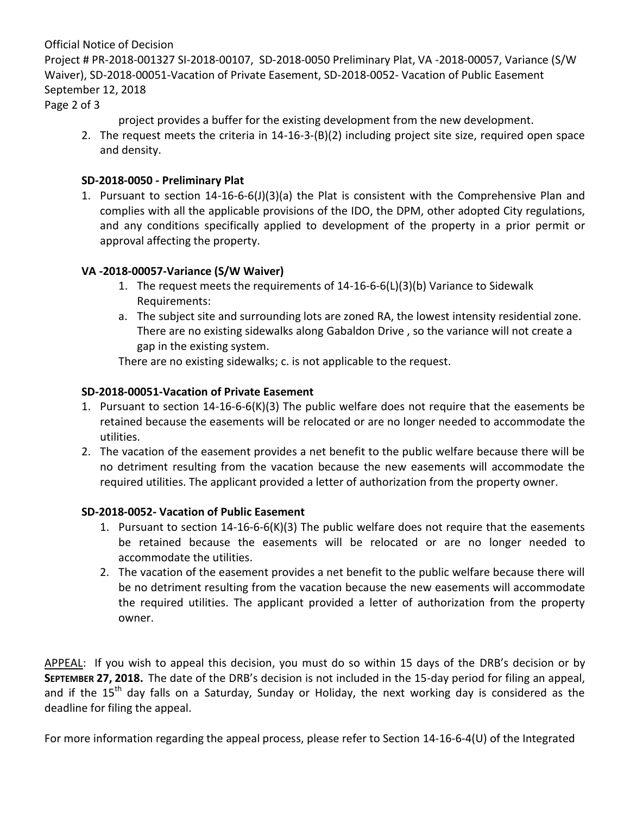#### Official Notice of Decision

Project # PR-2018-001327 SI-2018-00107, SD-2018-0050 Preliminary Plat, VA -2018-00057, Variance (S/W Waiver), SD-2018-00051-Vacation of Private Easement, SD-2018-0052- Vacation of Public Easement September 12, 2018

Page 2 of 3

project provides a buffer for the existing development from the new development.

2. The request meets the criteria in 14-16-3-(B)(2) including project site size, required open space and density.

### **SD-2018-0050 - Preliminary Plat**

1. Pursuant to section 14-16-6-6(J)(3)(a) the Plat is consistent with the Comprehensive Plan and complies with all the applicable provisions of the IDO, the DPM, other adopted City regulations, and any conditions specifically applied to development of the property in a prior permit or approval affecting the property.

## **VA -2018-00057-Variance (S/W Waiver)**

- 1. The request meets the requirements of 14-16-6-6(L)(3)(b) Variance to Sidewalk Requirements:
- a. The subject site and surrounding lots are zoned RA, the lowest intensity residential zone. There are no existing sidewalks along Gabaldon Drive , so the variance will not create a gap in the existing system.

There are no existing sidewalks; c. is not applicable to the request.

## **SD-2018-00051-Vacation of Private Easement**

- 1. Pursuant to section 14-16-6-6(K)(3) The public welfare does not require that the easements be retained because the easements will be relocated or are no longer needed to accommodate the utilities.
- 2. The vacation of the easement provides a net benefit to the public welfare because there will be no detriment resulting from the vacation because the new easements will accommodate the required utilities. The applicant provided a letter of authorization from the property owner.

#### **SD-2018-0052- Vacation of Public Easement**

- 1. Pursuant to section 14-16-6-6(K)(3) The public welfare does not require that the easements be retained because the easements will be relocated or are no longer needed to accommodate the utilities.
- 2. The vacation of the easement provides a net benefit to the public welfare because there will be no detriment resulting from the vacation because the new easements will accommodate the required utilities. The applicant provided a letter of authorization from the property owner.

APPEAL: If you wish to appeal this decision, you must do so within 15 days of the DRB's decision or by **SEPTEMBER 27, 2018.** The date of the DRB's decision is not included in the 15-day period for filing an appeal, and if the  $15<sup>th</sup>$  day falls on a Saturday, Sunday or Holiday, the next working day is considered as the deadline for filing the appeal.

For more information regarding the appeal process, please refer to Section 14-16-6-4(U) of the Integrated